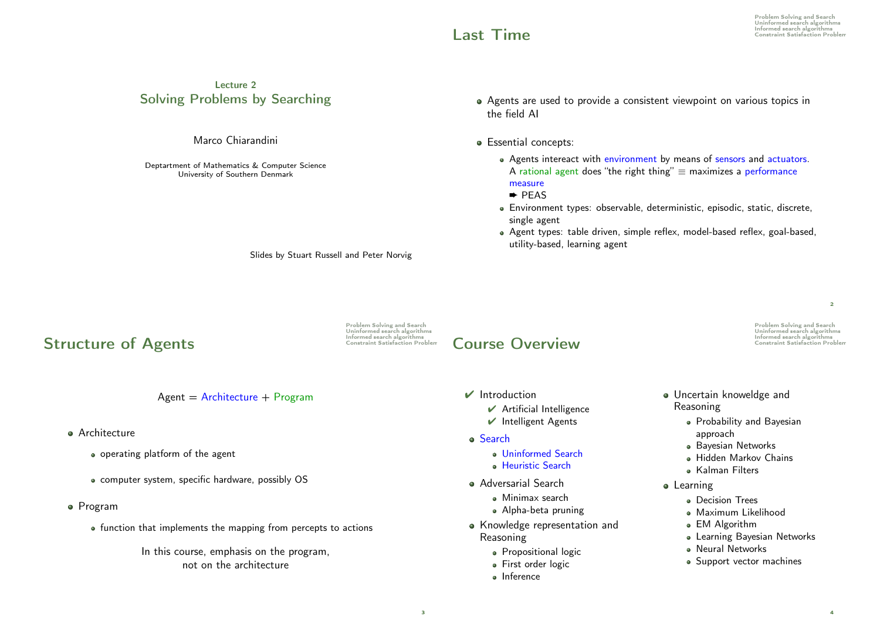## Lecture 2 Solving Problems by Searching

#### Marco Chiarandini

Deptartment of Mathematics & Computer Science University of Southern Denmark

- Agents are used to provide a consistent viewpoint on various topics in the field AI
- **·** Essential concepts:
	- Agents intereact with environment by means of sensors and actuators. A rational agent does "the right thing"  $\equiv$  maximizes a performance measure
	- ➨ PEAS
	- Environment types: observable, deterministic, episodic, static, discrete, single agent
	- Agent types: table driven, simple reflex, model-based reflex, goal-based, utility-based, learning agent

Slides by Stuart Russell and Peter Norvig

# **Structure of Agents**

Problem Solving and Search Touch Towns and Scarch algorithms<br>Uninformed search algorithms<br>Constraint Satisfaction Problem

3

# Informed search algorithms Course Overview Constraint Satisfaction Problem

 $\vee$  Introduction

- $\vee$  Artificial Intelligence
- $\vee$  Intelligent Agents
- Search
	- Uninformed Search
	- **Heuristic Search**
- Adversarial Search
	- Minimax search
	- Alpha-beta pruning
- Knowledge representation and Reasoning
	- **•** Propositional logic
	- **First order logic**
	- Inference

Problem Solving and Search Uninformed search algorithms

 $\overline{2}$ 

- Uncertain knoweldge and Reasoning
	- Probability and Bayesian approach
	- **Bayesian Networks**
	- Hidden Markov Chains
	- Kalman Filters
- **•** Learning
	- **Decision Trees**
	- · Maximum Likelihood
	- EM Algorithm
	- Learning Bayesian Networks
	- Neural Networks
	- Support vector machines
- $Agent = Architecture + Program$
- **Architecture** 
	- operating platform of the agent
	- computer system, specific hardware, possibly OS
- Program
	- function that implements the mapping from percepts to actions
		- In this course, emphasis on the program, not on the architecture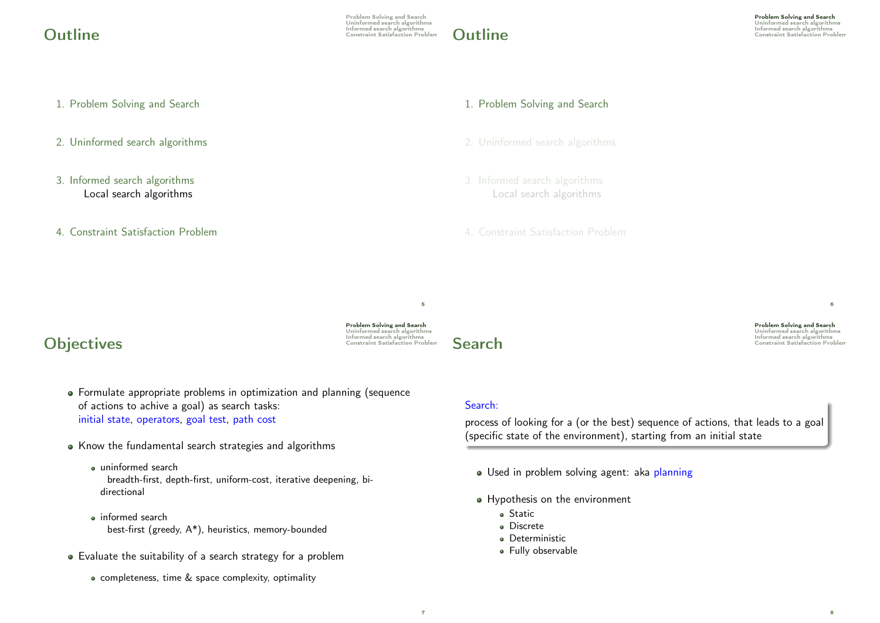Problem Solving and Search Uninformed search algorithms Informed search algorithms Outline Constraint Satisfaction Problem



Problem Solving and Search Uninformed search algorithms

- 1. Problem Solving and Search
- 2. Uninformed search algorithms
- 3. Informed search algorithms Local search algorithms
- 4. Constraint Satisfaction Problem

#### 1. Problem Solving and Search

- 
- Local search algorithms
- 4. Constraint Satisfaction Problem

Problem Solving and Search Uninformed search algorithms Informed search algorithms Objectives Constraint Satisfaction Problem

5



Problem Solving and Search Uninformed search algorithms  $\mathsf{Search}^\text{Informed search algorithms}$ 

6

8

# Formulate appropriate problems in optimization and planning (sequence

- of actions to achive a goal) as search tasks: initial state, operators, goal test, path cost
- Know the fundamental search strategies and algorithms
	- uninformed search breadth-first, depth-first, uniform-cost, iterative deepening, bidirectional
	- informed search best-first (greedy, A\*), heuristics, memory-bounded
- Evaluate the suitability of a search strategy for a problem
	- completeness, time & space complexity, optimality

#### Search:

process of looking for a (or the best) sequence of actions, that leads to a goal (specific state of the environment), starting from an initial state

- · Used in problem solving agent: aka planning
- Hypothesis on the environment
	- **o** Static
	- Discrete
	- **·** Deterministic
	- Fully observable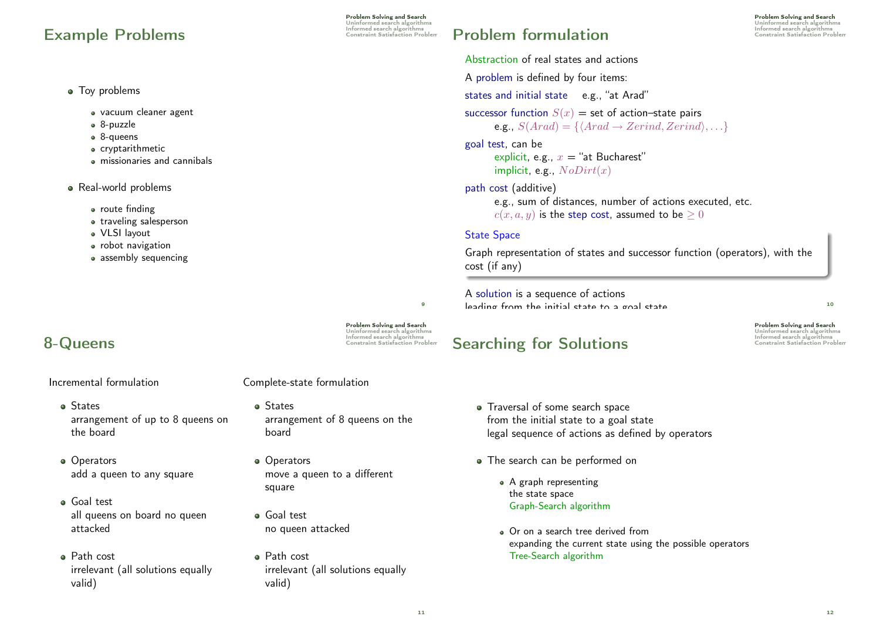# Informed search algorithms Example Problems Constraint Satisfaction Problem

Problem Solving and Search Uninformed search algorithms<br>Informed search algorithms

#### • Tov problems

- vacuum cleaner agent
- 8-puzzle
- 8-queens
- cryptarithmetic
- missionaries and cannibals
- Real-world problems
	- route finding
	- traveling salesperson
	- VLSI layout
	- robot navigation
	- assembly sequencing

# **8-Queens** Constraint Satisfaction Problem

Incremental formulation

### Complete-state formulation

- States arrangement of up to 8 queens on the board
- Operators add a queen to any square
- Goal test all queens on board no queen attacked
- Path cost irrelevant (all solutions equally valid)
- States arrangement of 8 queens on the board
- Operators move a queen to a different square
- Goal test no queen attacked
- Path cost irrelevant (all solutions equally valid)

# **Problem formulation**

Problem Solving and Search Uninformed search algorithms<br>Informed search algorithms

Abstraction of real states and actions A problem is defined by four items: states and initial state e.g., "at Arad" successor function  $S(x)$  = set of action–state pairs e.g.,  $S(Arad) = \{ \langle Arad \rightarrow Zerind, Zerind \rangle, \ldots \}$ goal test, can be explicit, e.g.,  $x =$  "at Bucharest" implicit, e.g.,  $NoDirt(x)$ 

path cost (additive)

e.g., sum of distances, number of actions executed, etc.  $c(x, a, y)$  is the step cost, assumed to be  $\geq 0$ 

#### State Space

Graph representation of states and successor function (operators), with the cost (if any)

A solution is a sequence of actions leading from the initial state to a goal state <sup>10</sup>

# Searching for Solutions **Informed Search algorithms**

Problem Solving and Search Uninformed search algorithms

- Traversal of some search space from the initial state to a goal state legal sequence of actions as defined by operators
- The search can be performed on
	- A graph representing the state space Graph-Search algorithm
	- Or on a search tree derived from expanding the current state using the possible operators Tree-Search algorithm

 $\alpha$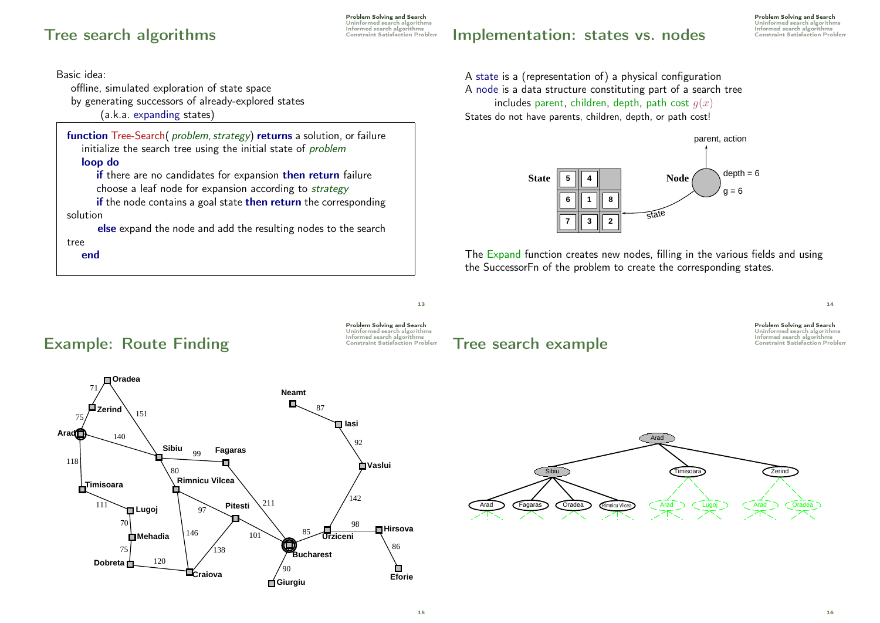# Informed search algorithms Tree search algorithms Constraint Satisfaction Problem

**Dobreta**

Problem Solving and Search Uninformed search algorithms<br>Informed search algorithms

# Implementation: states vs. nodes

Problem Solving and Search Uninformed search algorithms Informed search algorithms

Basic idea:

offline, simulated exploration of state space

by generating successors of already-explored states

(a.k.a. expanding states)

function Tree-Search( problem, strategy) returns a solution, or failure initialize the search tree using the initial state of *problem* loop do

if there are no candidates for expansion then return failure choose a leaf node for expansion according to strategy

if the node contains a goal state then return the corresponding solution

else expand the node and add the resulting nodes to the search tree end

**Giurgiu**

 $90$ 

**Craiova**

A state is a (representation of) a physical configuration A node is a data structure constituting part of a search tree includes parent, children, depth, path cost  $q(x)$ States do not have parents, children, depth, or path cost!



The  $\mathsf{Expand}$  function creates new nodes, filling in the various fields and using the SuccessorFn of the problem to create the corresponding states.



**Eforie**

Ò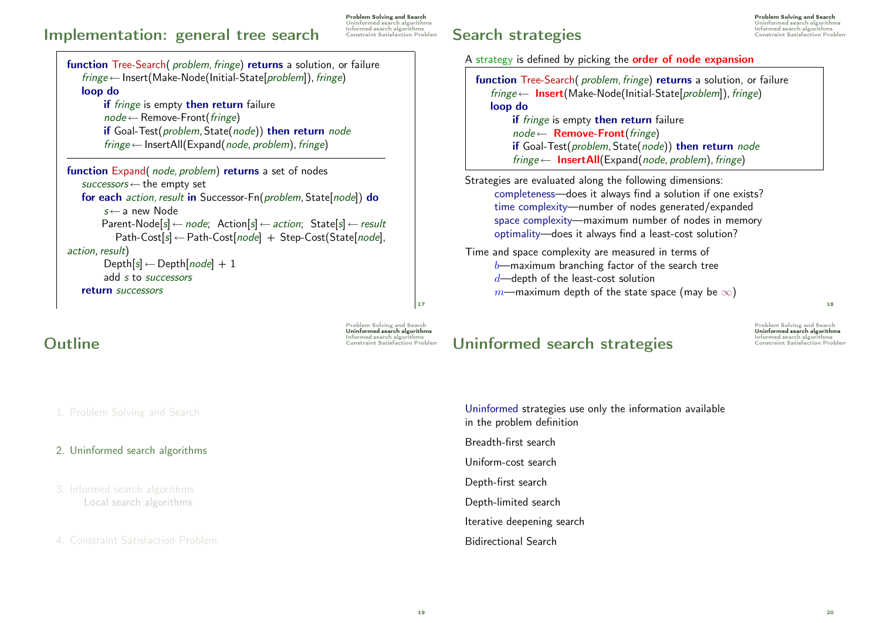# Implementation: general tree search

Problem Solving and Search Uninformed search algorithms Informed search algorithms

function Tree-Search( problem, fringe) returns a solution, or failure  $fringe \leftarrow Insert(Make-Node(Initial-State[problem]), fringe)$ loop do if fringe is empty then return failure  $node \leftarrow$  Remove-Front(*fringe*) if Goal-Test(problem, State(node)) then return node  $fringe \leftarrow$  InsertAll(Expand(node, problem), fringe) function Expand( node, problem) returns a set of nodes

 $successors \leftarrow$  the empty set for each *action*, result in Successor-Fn(problem, State[node]) do  $s \leftarrow$  a new Node Parent-Node[s]  $\leftarrow$  node; Action[s]  $\leftarrow$  action; State[s]  $\leftarrow$  result  $Path-Cost[s] \leftarrow Path-Cost[node] + Step-Cost(State[node],$ action, result)  $Depth[s] \leftarrow Depth[node] + 1$ add s to successors return successors

Problem Solving and Search Uninformed search algorithms Informed search algorithms Outline Constraint Satisfaction Problem

17

Informed search algorithms Search strategies Constraint Satisfaction Problem

A strategy is defined by picking the order of node expansion

function Tree-Search( problem, fringe) returns a solution, or failure  $fringe \leftarrow \text{Insert}(\text{Make-Node}(\text{Initial-State}(\text{problem})), fringe)$ loop do if fringe is empty then return failure  $node \leftarrow$  **Remove-Front**(fringe) if Goal-Test(problem, State(node)) then return node  $fringe \leftarrow$  InsertAll(Expand(node, problem), fringe)

Strategies are evaluated along the following dimensions: completeness—does it always find a solution if one exists? time complexity—number of nodes generated/expanded space complexity—maximum number of nodes in memory optimality—does it always find a least-cost solution?

Time and space complexity are measured in terms of  $b$ —maximum branching factor of the search tree  $d$ —depth of the least-cost solution m—maximum depth of the state space (may be  $\infty$ )

Problem Solving and Search Uninformed search algorithms Uninformed search strategies Constraint Satisfaction Problem

18

1. Problem Solving and Search

### 2. Uninformed search algorithms

Local search algorithms

4. Constraint Satisfaction Problem

Uninformed strategies use only the information available in the problem definition Breadth-first search Uniform-cost search Depth-first search Depth-limited search Iterative deepening search Bidirectional Search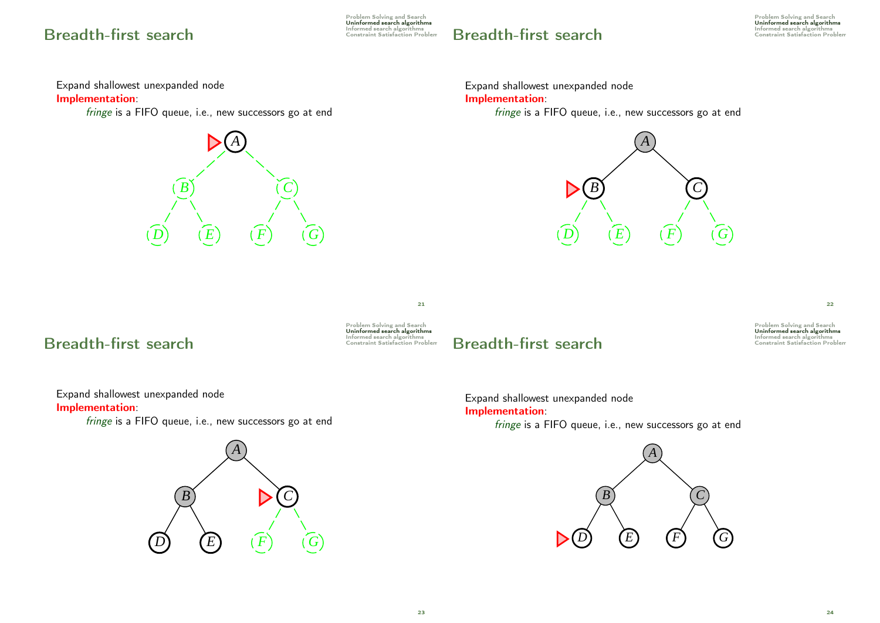# Informed search algorithms Breadth-first search Constraint Satisfaction Problem

Problem Solving and Search Uninformed search algorithms

# Breadth-first search

Problem Solving and Search Uninformed search algorithms<br>Informed search algorithms<br>Constraint Satisfaction Problem

Expand shallowest unexpanded node

Implementation:

fringe is a FIFO queue, i.e., new successors go at end



Expand shallowest unexpanded node Implementation:

fringe is a FIFO queue, i.e., new successors go at end



Informed search algorithms Breadth-first search Constraint Satisfaction Problem



21

# Breadth-first search

Problem Solving and Search Uninformed search algorithms<br>Informed search algorithms<br>Constraint Satisfaction Problem

22

Expand shallowest unexpanded node Implementation:

fringe is a FIFO queue, i.e., new successors go at end



Expand shallowest unexpanded node Implementation: fringe is a FIFO queue, i.e., new successors go at end

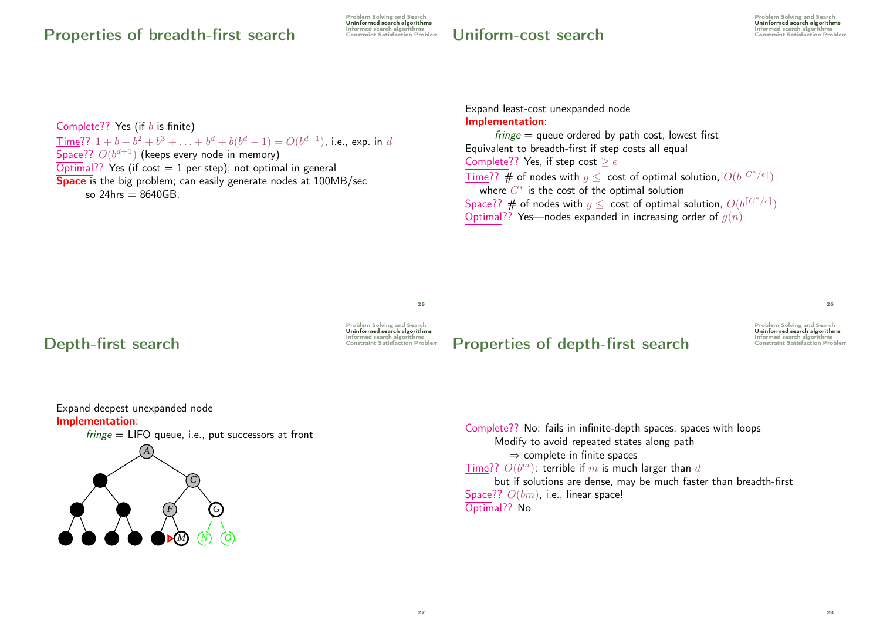# Properties of breadth-first search

Problem Solving and Search Uninformed search algorithms<br>Informed search algorithms<br>Constraint Satisfaction Problem

Informed search algorithms Uniform-cost search Constraint Satisfaction Problem

Problem Solving and Search Uninformed search algorithms<br>Informed search algorithms

Complete?? Yes (if  $b$  is finite)  $\overline{\text{Time}}$ ??  $1 + b + b^2 + b^3 + \ldots + b^d + b(b^d - 1) = O(b^{d+1})$ , i.e., exp. in d Space??  $O(b^{d+1})$  (keeps every node in memory)  $\overline{\text{Optimal}}$ ? Yes (if cost = 1 per step); not optimal in general **Space** is the big problem; can easily generate nodes at 100MB/sec so  $24$ hrs  $= 8640$ GB.

Expand least-cost unexpanded node Implementation:

 $f \circ f \circ f = g \circ f$  ordered by path cost, lowest first Equivalent to breadth-first if step costs all equal Complete?? Yes, if step cost  $\geq \epsilon$  $\overline{\text{Time}}??\text{ }\#$  of nodes with  $g\leq\text{ cost of optimal solution, }O(b^{\lceil C^*/\epsilon \rceil})$ where  $C^{\ast}$  is the cost of the optimal solution Space?? # of nodes with  $g\leq\,$  cost of optimal solution,  $\mathit{O}(b^{\lceil C^*/\epsilon \rceil})$  $\overline{\text{Optimal}??}$  Yes—nodes expanded in increasing order of  $g(n)$ 

# Informed search algorithms Depth-first search Constraint Satisfaction Problem



25

# Properties of depth-first search Constraint Satisfaction Problem

Problem Solving and Search Uninformed search algorithms

 $26$ 

Expand deepest unexpanded node Implementation:



*A B C C*  $F$  $G$ *H I J K L M N O* Complete?? No: fails in infinite-depth spaces, spaces with loops Modify to avoid repeated states along path  $\Rightarrow$  complete in finite spaces Time??  $O(b^m)$ : terrible if m is much larger than d but if solutions are dense, may be much faster than breadth-first Space??  $O(bm)$ , i.e., linear space! Optimal?? No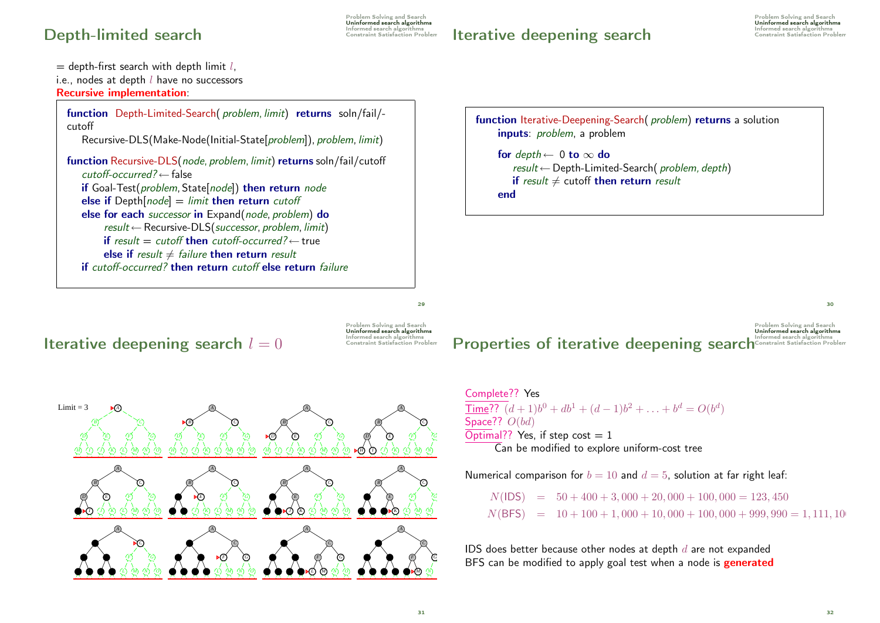# Depth-limited search

Iterative deepening search

 $=$  depth-first search with depth limit l. i.e., nodes at depth  $l$  have no successors Recursive implementation: function Depth-Limited-Search( problem, limit) returns soln/fail/ cutoff Recursive-DLS(Make-Node(Initial-State[problem]), problem, limit) function Recursive-DLS(node, problem, limit) returns soln/fail/cutoff  $cutoff\text{-}occurred? \leftarrow false$ if Goal-Test(problem, State[node]) then return node else if  $Depth[node] = limit$  then return cutoff else for each successor in Expand(node, problem) do  $result \leftarrow Recursively-DLS(successor, problem, limit)$ if result = cutoff then cutoff-occurred? $\leftarrow$  true else if result  $\neq$  failure then return result if cutoff-occurred? then return cutoff else return failure

function Iterative-Deepening-Search( problem) returns a solution inputs: *problem*, a problem for  $depth \leftarrow 0$  to  $\infty$  do result ←Depth-Limited-Search( problem, depth) if result  $\neq$  cutoff then return result end

## Iterative deepening search  $l = 0$



 $299$ 

# Properties of iterative deepening searchConstraint Satisfaction Pr

 $Limit = 3$ *A*  $(C)$ *D E F G* **H**  $\bullet$  **D**  $\bullet$  **D**  $\bullet$  **D** $(M)$   $(N)$ *A*  $(C)$ **d**  $(F)$   $(G)$ *H A I I <i><i>M (M) (N) (O) A*  $(C)$ **D**  $\bullet$  *E*  $\bullet$  *E*  $\circ$  *G H H* **I** *D (L) (M) (N) (O) A* **B B C D**  $(F)$   $(G)$ *H H* **I** *D (L) (M) (N) (O) A B C C C*  $(E)$   $\langle F \rangle$   $\langle G \rangle$ *H* **I** *H*  $(K)$   $(L)$   $(M)$   $(N)$ *A B C C* **d**  $(E)$   $(F)$   $(G)$ *H (I) (K) (L) (M) (N) (O) A B C C* **D**  $(E)$   $(F)$   $(G)$ *H* **I**  $\binom{J}{K}$   $\binom{K}{L}$   $\binom{M}{M}$   $\binom{N}{N}$   $\binom{O}{M}$ *A B C C D E E F G H I I (J) (K) (L) (M) (N) (O) A B C C D*)  $(E)$   $\langle F \rangle$   $\langle G \rangle$ *H*)  $\langle I \rangle$   $\langle J \rangle$   $\langle K \rangle$   $\langle L \rangle$   $\langle M \rangle$   $\langle N \rangle$   $\langle O \rangle$   $\blacktriangleright$   $\blacktriangleright$   $\langle H \rangle$   $\langle I \rangle$   $\langle K \rangle$   $\langle L \rangle$   $\langle M \rangle$   $\langle N \rangle$ *A B C C D E E F G A B C C D E E F G H I J K L M N O A B C C D E E F G H I J K L M N O*

Complete?? Yes <u>Time</u>??  $(d+1)b^0 + db^1 + (d-1)b^2 + \ldots + b^d = O(b^d)$ Space??  $O(bd)$  $\overline{\text{Optimal}}$ ? Yes, if step cost = 1 Can be modified to explore uniform-cost tree

Numerical comparison for  $b = 10$  and  $d = 5$ , solution at far right leaf:

 $N($ IDS) =  $50 + 400 + 3,000 + 20,000 + 100,000 = 123,450$  $N(BFS) = 10 + 100 + 1,000 + 10,000 + 100,000 + 999,990 = 1,111,100$ 

IDS does better because other nodes at depth  $d$  are not expanded BFS can be modified to apply goal test when a node is **generated**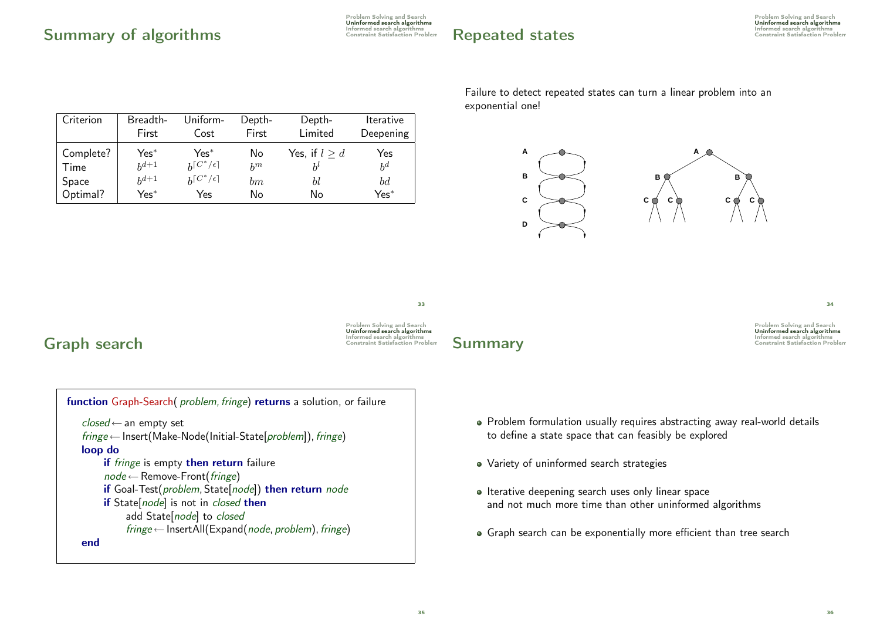# Repeated states

| Criterion | Breadth-  | Uniform-          | Depth-  | Depth-          | Iterative |
|-----------|-----------|-------------------|---------|-----------------|-----------|
|           | First     | Cost              | First   | Limited         | Deepening |
| Complete? | $Yes^*$   | $Yes*$            | No      | Yes, if $l > d$ | Yes       |
| Time      | $h^{d+1}$ | $h[C^*/\epsilon]$ | $h^m$   |                 | $b^d$     |
| Space     | $h^{d+1}$ | $h[C^*/\epsilon]$ | $_{bm}$ | bl              | bd        |

Failure to detect repeated states can turn a linear problem into an exponential one!



 $\overline{34}$ 

Problem Solving and Search Uninformed search algorithms

# Informed search algorithms Graph search Constraint Satisfaction Problem

**Time** 

Space



Optimal? Yes<sup>∗</sup> Yes No No Yes<sup>∗</sup>

# Summary Constraint Satisfaction Problem

- Problem formulation usually requires abstracting away real-world details to define a state space that can feasibly be explored
- Variety of uninformed search strategies
- Iterative deepening search uses only linear space and not much more time than other uninformed algorithms
- Graph search can be exponentially more efficient than tree search

33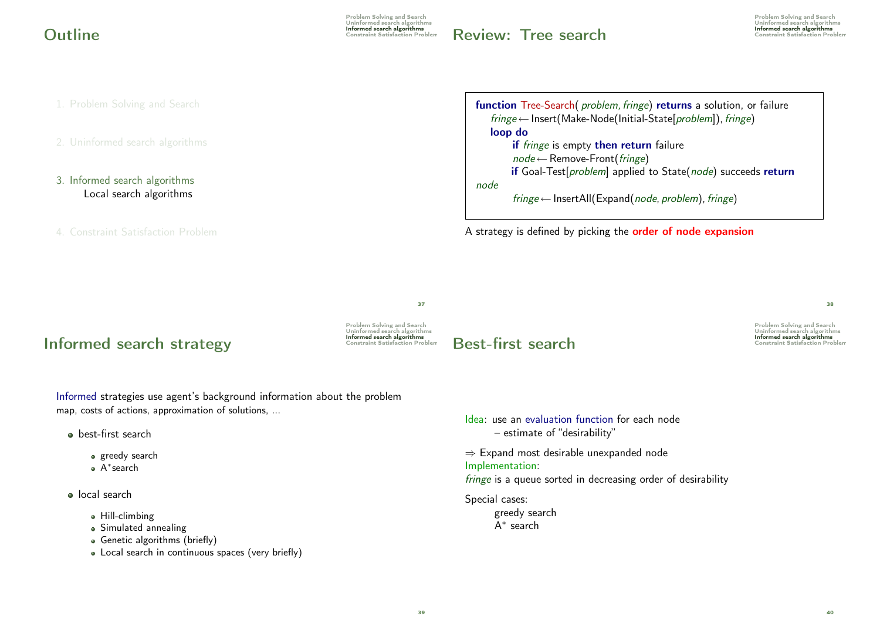Problem Solving and Search Uninformed search algorithms Informed search algorithms Outline Constraint Satisfaction Problem

**Review: Tree search Informed search algorithms** 

Problem Solving and Search Uninformed search algorithms<br>Informed search algorithms

1. Problem Solving and Search

- 3. Informed search algorithms Local search algorithms
- 4. Constraint Satisfaction Problem

function Tree-Search( problem, fringe) returns a solution, or failure  $fringe \leftarrow$  Insert(Make-Node(Initial-State[problem]), fringe) loop do if *fringe* is empty then return failure  $node \leftarrow$  Remove-Front(*fringe*) if Goal-Test[problem] applied to State(node) succeeds return node  $fringe \leftarrow$  InsertAll(Expand(node, problem), fringe)

A strategy is defined by picking the **order of node expansion** 

# Informed search strategy<br>
Informed search strategy<br>
Constraint Satisfaction Problem

Uninformed search algorithms Informed search algorithms

Problem Solving and Search

37

# Informed search algorithms Best-first search Constraint Satisfaction Problem

Problem Solving and Search Uninformed search algorithms

 $38$ 

Informed strategies use agent's background information about the problem map, costs of actions, approximation of solutions, ...

- **a** best-first search
	- greedy search
	- A ∗ search

**o** local search

- Hill-climbing
- Simulated annealing
- Genetic algorithms (briefly)
- Local search in continuous spaces (very briefly)

– estimate of "desirability" ⇒ Expand most desirable unexpanded node Implementation: fringe is a queue sorted in decreasing order of desirability Special cases: greedy search A ∗ search

Idea: use an evaluation function for each node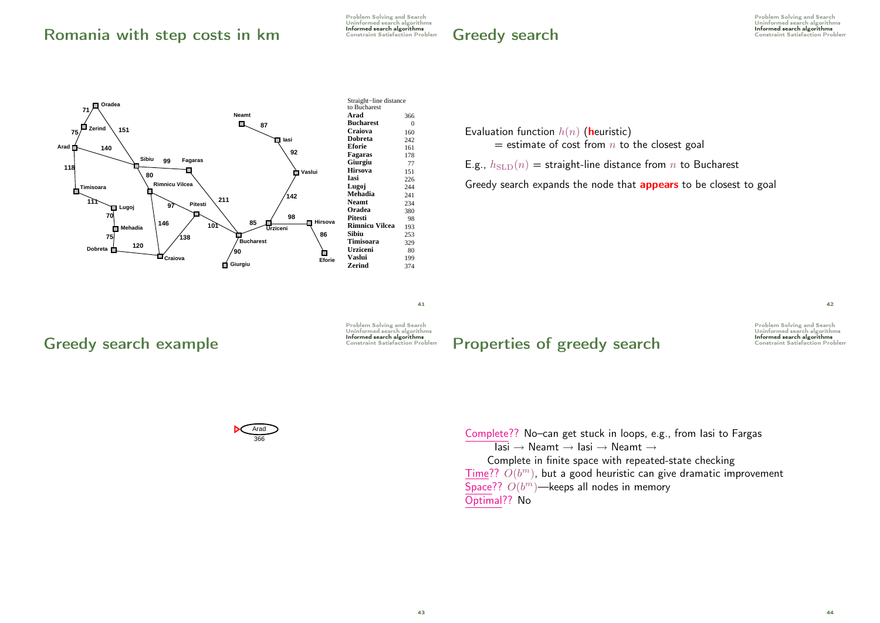# Romania with step costs in km Constraint Satisfaction Problem



Evaluation function  $h(n)$  (heuristic)

 $=$  estimate of cost from  $n$  to the closest goal

E.g.,  $h_{\text{SLD}}(n)$  = straight-line distance from n to Bucharest

Greedy search expands the node that **appears** to be closest to goal

41

Problem Solving and Search Uninformed search algorithms

Problem Solving and Search Uninformed search algorithms

# Greedy search example **Greedy search** example



Properties of greedy search Constraint Satisfaction Problem

Problem Solving and Search Uninformed search algorithms

42

Complete?? No-can get stuck in loops, e.g., from lasi to Fargas Complete in finite space with repeated-state checking  $\overline{\text{Time}}$ ??  $O(b^m)$ , but a good heuristic can give dramatic improvement  $\text{Iasi} \rightarrow \text{Neamt} \rightarrow \text{Iasi} \rightarrow \text{Neamt} \rightarrow$ Space??  $O(b^m)$ —keeps all nodes in memory Optimal?? No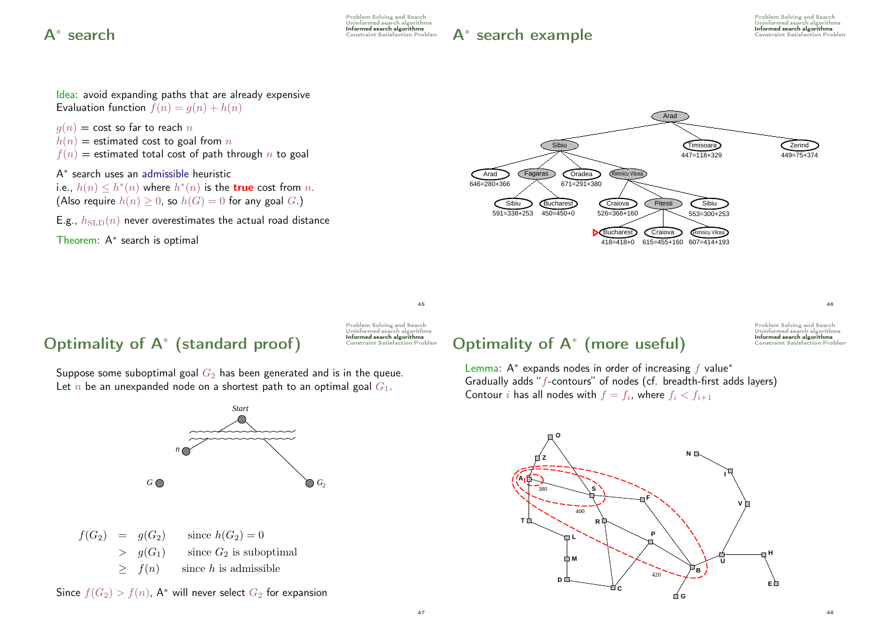Problem Solving and Search Uninformed search algorithms<br>Informed search algorithms  $A^*$  Search  $\overline{A}^*$  Search algorithms at  $\overline{A}^*$  Search algorithms of  $\overline{A}^*$  Search algorithms set is  $\overline{A}$ 

 $A^*$  search example  $\overline{A^*}$  search algorithms



 $45$ 

# $\mathbf{Optimality}$  of  $\mathsf{A}^*$  (standard proof)  $\mathsf{I}^*$   $\mathsf{I}^*$   $\mathsf{I}^*$   $\mathsf{I}^*$   $\mathsf{I}^*$   $\mathsf{I}^*$   $\mathsf{I}^*$   $\mathsf{I}^*$   $\mathsf{I}^*$   $\mathsf{I}^*$   $\mathsf{I}^*$   $\mathsf{I}^*$   $\mathsf{I}^*$   $\mathsf{I}^*$   $\mathsf{I}^*$   $\mathsf{I}^*$   $\math$

Problem Solving and Search Uninformed search algorithms

Suppose some suboptimal goal  $G_2$  has been generated and is in the queue. Let *n* be an unexpanded node on a shortest path to an optimal goal  $G_1$ .



 $f(G_2) = g(G_2)$  since  $h(G_2) = 0$  $> g(G_1)$  since  $G_2$  is suboptimal  $\geq f(n)$  since h is admissible

Since  $f(G_2) > f(n)$ , A<sup>\*</sup> will never select  $G_2$  for expansion

# $\mathbf{Optimality}$  of  $\mathsf{A}^*$  (more useful)  $\sum_{\text{Constant Salification Prob}}^{\text{Information Stabian}$

Problem Solving and Search Uninformed search algorithm

46

Lemma:  $A^*$  expands nodes in order of increasing  $f$  value\* Gradually adds "f-contours" of nodes (cf. breadth-first adds layers) Contour i has all nodes with  $f = f_i$ , where  $f_i < f_{i+1}$ 

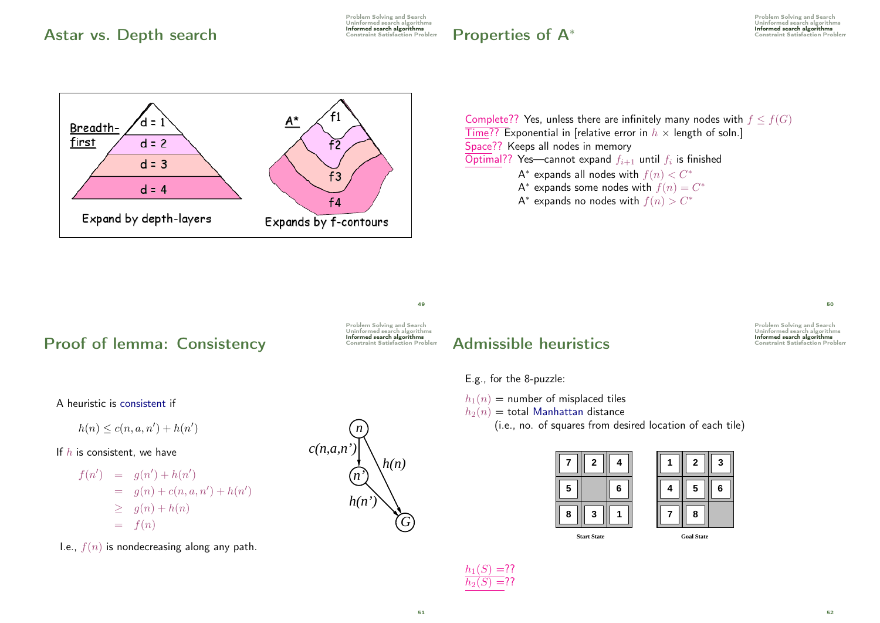# Astar vs. Depth search **Informed Search algorithms**

Problem Solving and Search Uninformed search algorithms

# $Properties of A<sup>*</sup>$  Constraint Satisfaction Problem

Problem Solving and Search Uninformed search algorithms<br> **Informed search algorithms** 



Complete?? Yes, unless there are infinitely many nodes with  $f \leq f(G)$  $\overline{\text{Time??}}$  Exponential in [relative error in  $h \times$  length of soln.] Space?? Keeps all nodes in memory Optimal?? Yes—cannot expand  $f_{i+1}$  until  $f_i$  is finished A $^*$  expands all nodes with  $f(n) < C^\ast$ A\* expands some nodes with  $f(n)=C^{\ast}$ 

A\* expands no nodes with  $f(n) > C^\ast$ 

Proof of lemma: Consistency Informed search algorithms

Problem Solving and Search Uninformed search algorithms

 $49$ 

# Admissible heuristics **Informed search algorithms**

E.g., for the 8-puzzle:

 $h_1(n)$  = number of misplaced tiles

 $h_2(n) =$  total Manhattan distance

(i.e., no. of squares from desired location of each tile)

|   | 2                  | 4 |   | $\mathbf{2}$      |
|---|--------------------|---|---|-------------------|
| 5 |                    | 6 | 4 | 5                 |
| 8 | 3                  |   |   | 8                 |
|   | <b>Start State</b> |   |   | <b>Goal State</b> |

|   | 2 | 3 |
|---|---|---|
| 4 | 5 | 6 |
|   | 8 |   |



A heuristic is consistent if

 $h(n) \le c(n, a, n') + h(n')$ 

If  $h$  is consistent, we have

$$
f(n') = g(n') + h(n')
$$
  
= g(n) + c(n, a, n') + h(n')  

$$
\geq g(n) + h(n)
$$
  
= f(n)

I.e.,  $f(n)$  is nondecreasing along any path.





50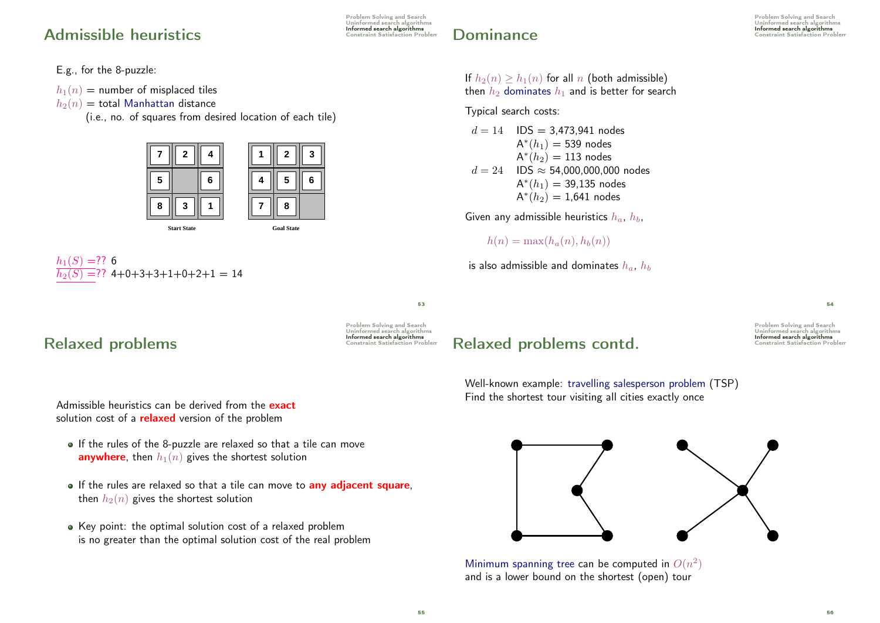# Admissible heuristics **Informed search algorithms**

E.g., for the 8-puzzle:

 $h_1(n)$  = number of misplaced tiles

 $h_2(n) =$  total Manhattan distance

(i.e., no. of squares from desired location of each tile)



 $h_1(S) = ??$  6  $h_2(S) = ?$ ? 4+0+3+3+1+0+2+1 = 14

## Problem Solving and Search Uninformed search algorithms

Problem Solving and Search Uninformed search algorithms **Dominance** Constraint Satisfaction Problem

If  $h_2(n) > h_1(n)$  for all n (both admissible) then  $h_2$  dominates  $h_1$  and is better for search

Typical search costs:

 $d = 14$  IDS = 3,473,941 nodes  $\mathsf{A}^*(h_1) = 539$  nodes  $\mathsf{A}^*(h_2)=113$  nodes  $d = 24$  IDS  $\approx$  54,000,000,000 nodes  $\mathsf{A}^{*}(h_1) = 39,135$  nodes  $\mathsf{A}^*(h_2) = 1{,}641$  nodes

Given any admissible heuristics  $h_a$ ,  $h_b$ ,

 $h(n) = \max(h_a(n), h_b(n))$ 

is also admissible and dominates  $h_a$ ,  $h_b$ 

53

Problem Solving and Search Uninformed search algorithms

# Informed search algorithms Relaxed problems Constraint Satisfaction Problem

Admissible heuristics can be derived from the exact solution cost of a **relaxed** version of the problem

- If the rules of the 8-puzzle are relaxed so that a tile can move **anywhere**, then  $h_1(n)$  gives the shortest solution
- If the rules are relaxed so that a tile can move to **any adiacent square**, then  $h_2(n)$  gives the shortest solution
- Key point: the optimal solution cost of a relaxed problem is no greater than the optimal solution cost of the real problem

# Relaxed problems contd.

Problem Solving and Search Uninformed search algorithm

54

Well-known example: travelling salesperson problem (TSP) Find the shortest tour visiting all cities exactly once



Minimum spanning tree can be computed in  $O(n^2)$ and is a lower bound on the shortest (open) tour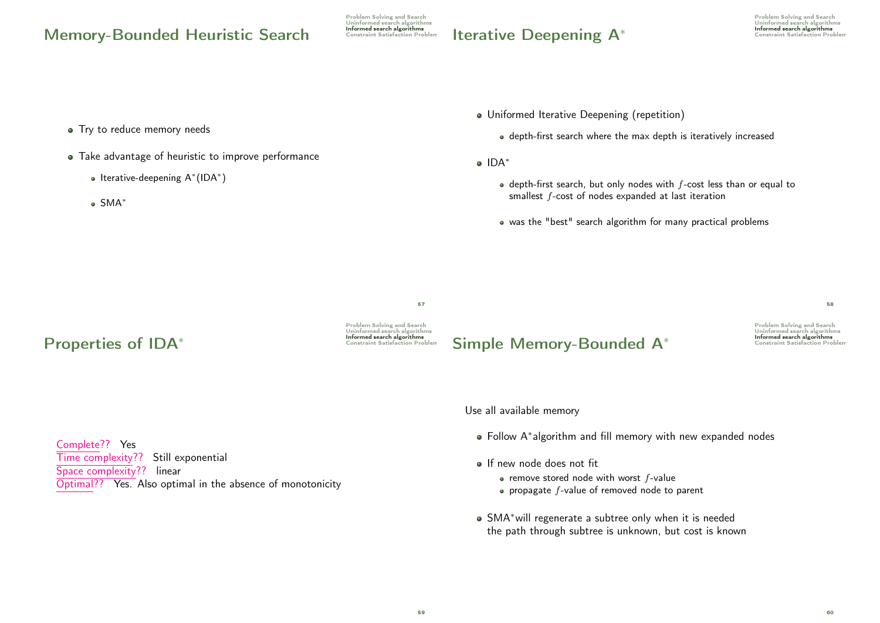# Memory-Bounded Heuristic Search Constraint Satisfaction Problem

Problem Solving and Search Uninformed search algorithms

# Iterative Deepening A<sup>∗</sup>

Problem Solving and Search Uninformed search algorithms Informed search algorithms<br>Constraint Satisfaction Problen

- Try to reduce memory needs
- Take advantage of heuristic to improve performance
	- Iterative-deepening A<sup>∗</sup> (IDA<sup>∗</sup> )
	- SMA<sup>∗</sup>
- Uniformed Iterative Deepening (repetition)
	- depth-first search where the max depth is iteratively increased
- IDA<sup>\*</sup>
	- $\bullet$  depth-first search, but only nodes with  $f$ -cost less than or equal to smallest f-cost of nodes expanded at last iteration
	- was the "best" search algorithm for many practical problems

57

**Properties of IDA**<sup>\*</sup> and the constraint Satisfaction Problem

Problem Solving and Search Uninformed search algorithms

# Informed search algorithms Simple Memory-Bounded A<sup>∗</sup> Constraint Satisfaction Problem

Problem Solving and Search Uninformed search algorithms

58

Use all available memory

- Follow A<sup>∗</sup> algorithm and fill memory with new expanded nodes
- **If new node does not fit** 
	- $\bullet$  remove stored node with worst f-value
	- $\bullet$  propagate  $f$ -value of removed node to parent
- SMA∗will regenerate a subtree only when it is needed the path through subtree is unknown, but cost is known

Complete?? Yes Time complexity?? Still exponential Space complexity?? linear Optimal?? Yes. Also optimal in the absence of monotonicity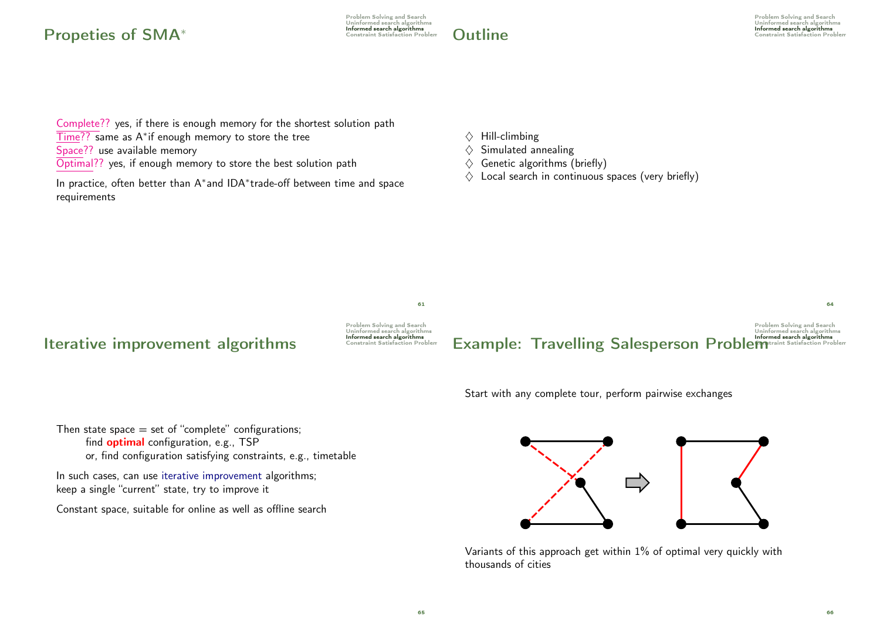# Propeties of SMA<sup>∗</sup> and algorithms constraint Satisfaction Problem

Problem Solving and Search Uninformed search algorithms<br>Informed search algorithms



Complete?? yes, if there is enough memory for the shortest solution path Time?? same as A<sup>∗</sup> if enough memory to store the tree Space?? use available memory Optimal?? yes, if enough memory to store the best solution path

In practice, often better than A<sup>∗</sup> and IDA<sup>∗</sup> trade-off between time and space requirements

- $\Diamond$  Hill-climbing
- $\diamond$  Simulated annealing
- $\diamondsuit$  Genetic algorithms (briefly)
- $\diamondsuit$  Local search in continuous spaces (very briefly)



Start with any complete tour, perform pairwise exchanges

Then state space  $=$  set of "complete" configurations; find optimal configuration, e.g., TSP or, find configuration satisfying constraints, e.g., timetable

In such cases, can use iterative improvement algorithms; keep a single "current" state, try to improve it

Constant space, suitable for online as well as offline search



Variants of this approach get within 1% of optimal very quickly with thousands of cities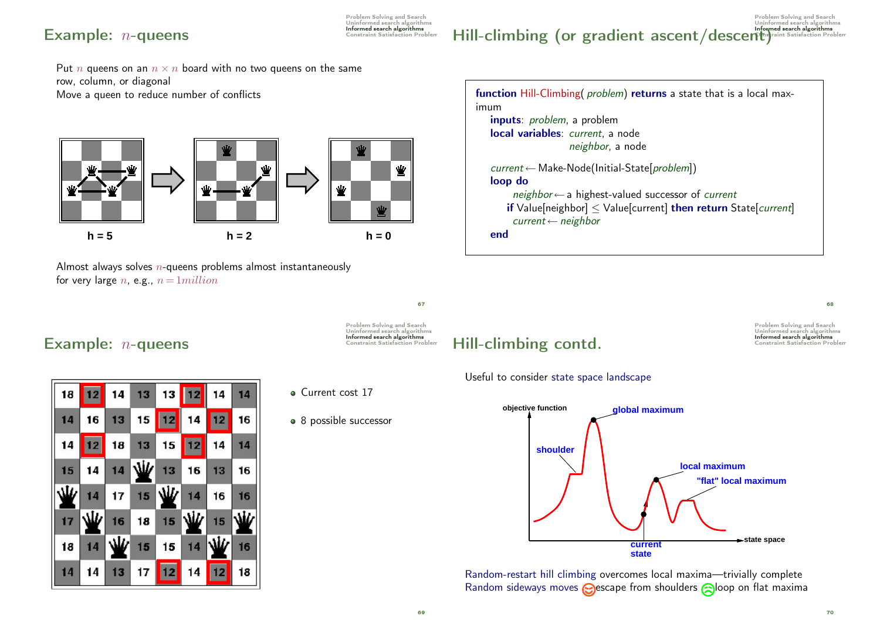# $$

Problem Solving and Search Uninformed search algorithms<br>Informed search algorithms

Problem Solving and Search Uninformed search algorithms  $Hill-climbing$  (or gradient ascent/descent)  $A<sub>shraint</sub> Satisfies  $Stishel$$ 

Put *n* queens on an  $n \times n$  board with no two queens on the same row, column, or diagonal Move a queen to reduce number of conflicts



Almost always solves  $n$ -queens problems almost instantaneously for very large *n*, e.g.,  $n = 1$ *million* 



68

Problem Solving and Search Uninformed search algorithms

## $$



• Current cost 17

• 8 possible successor

# Informed search algorithms Hill-climbing contd. Constraint Satisfaction Problem

Useful to consider state space landscape



Random-restart hill climbing overcomes local maxima—trivially complete Random sideways moves  $\odot$ escape from shoulders  $\odot$ loop on flat maxima

69

67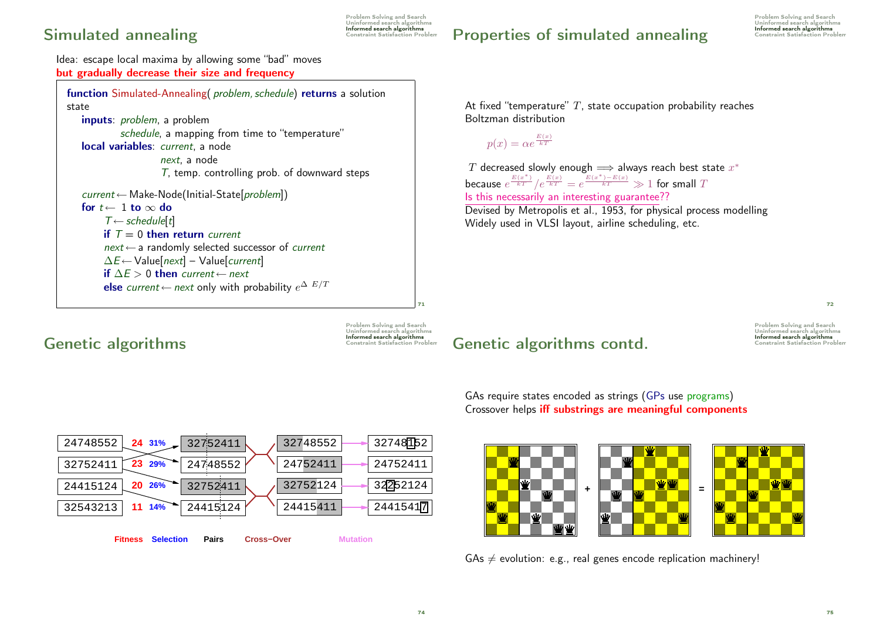# Simulated annealing Simulated States algorithms

Problem Solving and Search Uninformed search algorithms

# Properties of simulated annealing Constraint Satisfaction Problem

Problem Solving and Search Uninformed search algorithms

Idea: escape local maxima by allowing some "bad" moves but gradually decrease their size and frequency

function Simulated-Annealing(*problem, schedule*) returns a solution state inputs: problem, a problem schedule, a mapping from time to "temperature" local variables: current, a node next, a node T, temp. controlling prob. of downward steps current ← Make-Node(Initial-State[problem]) for  $t \leftarrow 1$  to  $\infty$  do  $T \leftarrow$  schedule[t] if  $T = 0$  then return current  $next \leftarrow$  a randomly selected successor of *current*  $\Delta E \leftarrow$  Value[next] – Value[current] if  $\Delta E > 0$  then current ← next else current ← next only with probability  $e^{\Delta E/T}$ 

Genetic algorithms

Problem Solving and Search Uninformed search algorithms

71

At fixed "temperature"  $T$ , state occupation probability reaches Boltzman distribution

 $p(x) = \alpha e^{\frac{E(x)}{kT}}$ 

 $T$  decreased slowly enough  $\Longrightarrow$  always reach best state  $x^*$ because  $e^{\frac{E(x^*)}{kT}}/e^{\frac{E(x)}{kT}}=e^{\frac{E(x^*)-E(x)}{kT}}\gg 1$  for small  $T$ Is this necessarily an interesting guarantee?? Devised by Metropolis et al., 1953, for physical process modelling Widely used in VLSI layout, airline scheduling, etc.

> Problem Solving and Search Uninformed search algorithm

72

GAs require states encoded as strings (GPs use programs) Crossover helps iff substrings are meaningful components



Genetic algorithms contd.

 $GAs \neq$  evolution: e.g., real genes encode replication machinery!

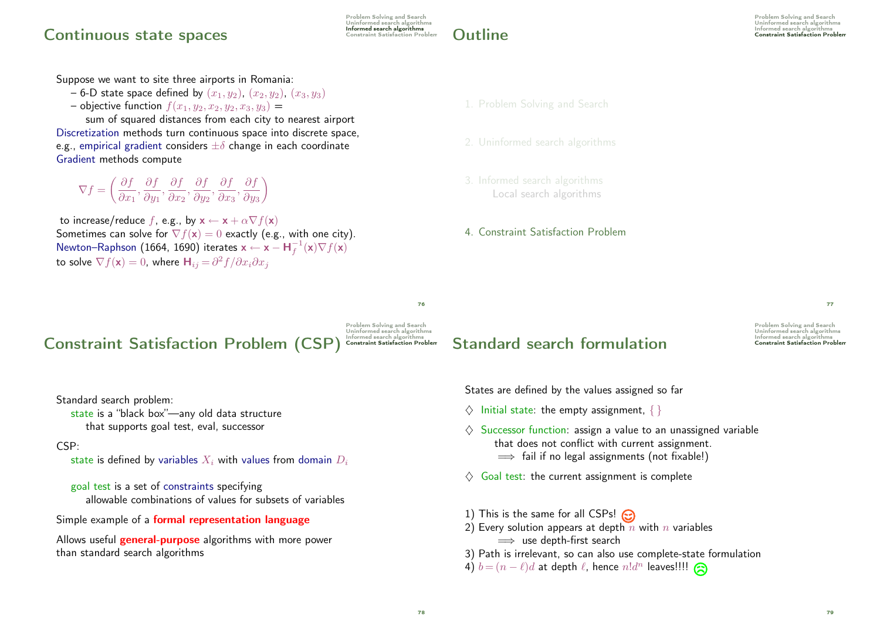## Informed search algorithms Continuous state spaces Constraint Satisfaction Problem

Problem Solving and Search Uninformed search algorithms



Suppose we want to site three airports in Romania:

- 6-D state space defined by  $(x_1, y_2)$ ,  $(x_2, y_2)$ ,  $(x_3, y_3)$
- objective function  $f(x_1, y_2, x_2, y_2, x_3, y_3) =$

sum of squared distances from each city to nearest airport Discretization methods turn continuous space into discrete space, e.g., empirical gradient considers  $\pm\delta$  change in each coordinate Gradient methods compute

 $\nabla f =$  ∂f  $\frac{\partial f}{\partial x_1}, \frac{\partial f}{\partial y_1}$  $\frac{\partial f}{\partial y_1}, \frac{\partial f}{\partial x_2}$  $\frac{\partial f}{\partial x_2}, \frac{\partial f}{\partial y_2}$  $\frac{\partial f}{\partial y_2}, \frac{\partial f}{\partial x_3}$  $\frac{\partial f}{\partial x_3}, \frac{\partial f}{\partial y_3}$  $\partial y_3$  $\setminus$ 

to increase/reduce f, e.g., by  $\mathbf{x} \leftarrow \mathbf{x} + \alpha \nabla f(\mathbf{x})$ Sometimes can solve for  $\nabla f(\mathbf{x}) = 0$  exactly (e.g., with one city). Newton–Raphson (1664, 1690) iterates  $\mathbf{x} \leftarrow \mathbf{x} - \mathbf{H}_f^{-1}(\mathbf{x}) \nabla f(\mathbf{x})$ to solve  $\nabla f(\mathbf{x})=0$ , where  $\mathbf{H}_{ij} \!=\! \partial^2 f / \partial x_i \partial x_j$ 

#### 1. Problem Solving and Search

- 
- Local search algorithms

4. Constraint Satisfaction Problem

76

Problem Solving and Search Uninformed search algorithms

# Constraint Satisfaction Problem (CSP) Constraint Satisfaction Problem

Standard search problem:

state is a "black box"—any old data structure that supports goal test, eval, successor

### CSP:

state is defined by variables  $X_i$  with values from domain  $D_i$ 

goal test is a set of constraints specifying allowable combinations of values for subsets of variables

Simple example of a formal representation language

Allows useful **general-purpose** algorithms with more power than standard search algorithms

# Standard search formulation Constraint Satisfaction Problem

Problem Solving and Search Uninformed search algorithm

77

States are defined by the values assigned so far

- $\Diamond$  Initial state: the empty assignment,  $\{ \}$
- $\Diamond$  Successor function: assign a value to an unassigned variable that does not conflict with current assignment.  $\implies$  fail if no legal assignments (not fixable!)
- $\Diamond$  Goal test: the current assignment is complete
- 1) This is the same for all CSPs!
- 2) Every solution appears at depth  $n$  with  $n$  variables  $\implies$  use depth-first search
- 3) Path is irrelevant, so can also use complete-state formulation
- 4)  $b = (n \ell)d$  at depth  $\ell$ , hence  $n!d^n$  leaves!!!!